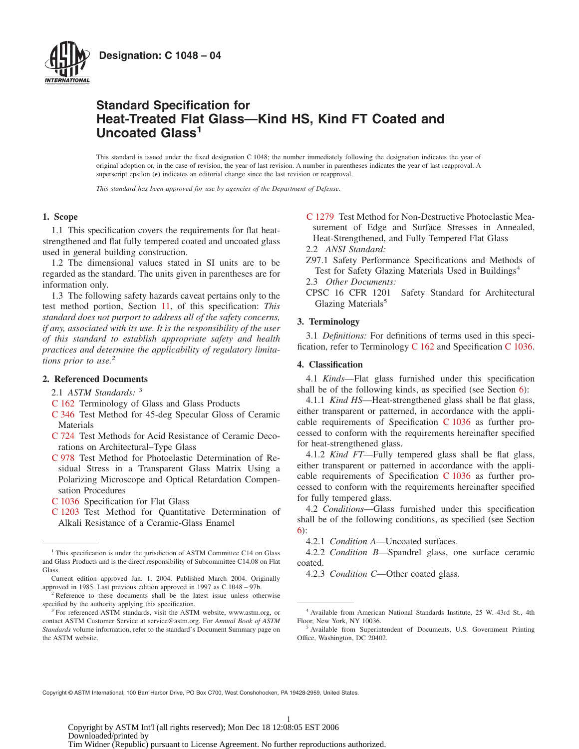

# **Standard Specification for Heat-Treated Flat Glass—Kind HS, Kind FT Coated and Uncoated Glass<sup>1</sup>**

This standard is issued under the fixed designation C 1048; the number immediately following the designation indicates the year of original adoption or, in the case of revision, the year of last revision. A number in parentheses indicates the year of last reapproval. A superscript epsilon ( $\epsilon$ ) indicates an editorial change since the last revision or reapproval.

*This standard has been approved for use by agencies of the Department of Defense.*

# **1. Scope**

1.1 This specification covers the requirements for flat heatstrengthened and flat fully tempered coated and uncoated glass used in general building construction.

1.2 The dimensional values stated in SI units are to be regarded as the standard. The units given in parentheses are for information only.

1.3 The following safety hazards caveat pertains only to the test method portion, Section [11,](#page-4-0) of this specification: *This standard does not purport to address all of the safety concerns, if any, associated with its use. It is the responsibility of the user of this standard to establish appropriate safety and health practices and determine the applicability of regulatory limitations prior to use.2*

# **2. Referenced Documents**

2.1 *ASTM Standards:* <sup>3</sup>

- [C 162](#page-0-0) Terminology of Glass and Glass Products
- [C 346](#page-4-1) Test Method for 45-deg Specular Gloss of Ceramic Materials
- [C 724](#page-5-0) Test Methods for Acid Resistance of Ceramic Decorations on Architectural–Type Glass
- [C 978](#page-4-2) Test Method for Photoelastic Determination of Residual Stress in a Transparent Glass Matrix Using a Polarizing Microscope and Optical Retardation Compensation Procedures
- [C 1036](#page-0-0) Specification for Flat Glass
- [C 1203](#page-4-3) Test Method for Quantitative Determination of Alkali Resistance of a Ceramic-Glass Enamel

Current edition approved Jan. 1, 2004. Published March 2004. Originally approved in 1985. Last previous edition approved in 1997 as C 1048 – 97b.

- <span id="page-0-8"></span>[C 1279](#page-5-1) Test Method for Non-Destructive Photoelastic Measurement of Edge and Surface Stresses in Annealed, Heat-Strengthened, and Fully Tempered Flat Glass
- 2.2 *ANSI Standard:*
- Z97.1 Safety Performance Specifications and Methods of Test for Safety Glazing Materials Used in Buildings<sup>4</sup>
- 2.3 *Other Documents:*
- CPSC 16 CFR 1201 Safety Standard for Architectural Glazing Materials<sup>5</sup>

# **3. Terminology**

<span id="page-0-0"></span>3.1 *Definitions:* For definitions of terms used in this specification, refer to Terminology [C 162](#page-0-1) and Specification [C 1036.](#page-0-2)

## **4. Classification**

4.1 *Kinds*—Flat glass furnished under this specification shall be of the following kinds, as specified (see Section 6):

<span id="page-0-7"></span><span id="page-0-5"></span><span id="page-0-2"></span><span id="page-0-1"></span>4.1.1 *Kind HS*—Heat-strengthened glass shall be flat glass, either transparent or patterned, in accordance with the applicable requirements of Specification [C 1036](#page-0-3) as further processed to conform with the requirements hereinafter specified for heat-strengthened glass.

<span id="page-0-4"></span><span id="page-0-3"></span>4.1.2 *Kind FT*—Fully tempered glass shall be flat glass, either transparent or patterned in accordance with the applicable requirements of Specification [C 1036](#page-3-0) as further processed to conform with the requirements hereinafter specified for fully tempered glass.

4.2 *Conditions*—Glass furnished under this specification shall be of the following conditions, as specified (see Section 6):

<span id="page-0-9"></span><span id="page-0-6"></span>4.2.1 *Condition A*—Uncoated surfaces.

4.2.2 *Condition B*—Spandrel glass, one surface ceramic coated.

4.2.3 *Condition C*—Other coated glass.

Copyright © ASTM International, 100 Barr Harbor Drive, PO Box C700, West Conshohocken, PA 19428-2959, United States.

<sup>&</sup>lt;sup>1</sup> This specification is under the jurisdiction of ASTM Committee C14 on Glass and Glass Products and is the direct responsibility of Subcommittee C14.08 on Flat **Glass** 

<sup>&</sup>lt;sup>2</sup> Reference to these documents shall be the latest issue unless otherwise specified by the authority applying this specification.

<sup>&</sup>lt;sup>3</sup> For referenced ASTM standards, visit the ASTM website, www.astm.org, or contact ASTM Customer Service at service@astm.org. For *Annual Book of ASTM Standards* volume information, refer to the standard's Document Summary page on the ASTM website.

<sup>4</sup> Available from American National Standards Institute, 25 W. 43rd St., 4th Floor, New York, NY 10036.

<sup>&</sup>lt;sup>5</sup> Available from Superintendent of Documents, U.S. Government Printing Office, Washington, DC 20402.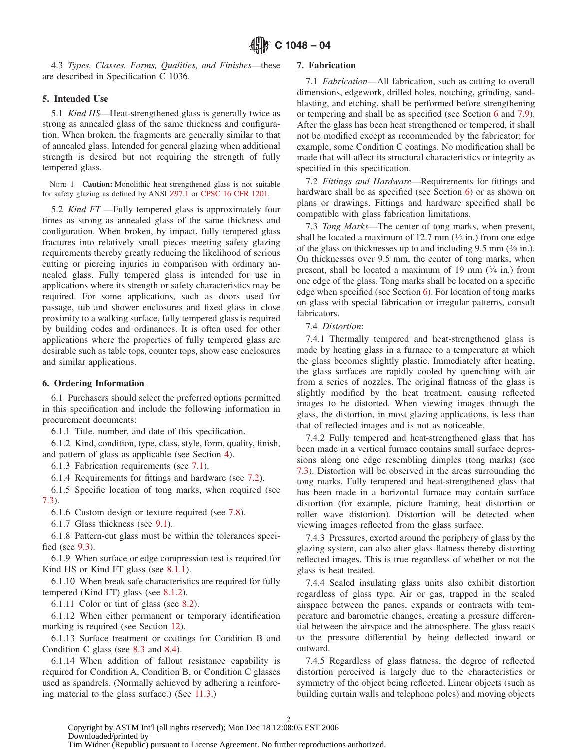4.3 *Types, Classes, Forms, Qualities, and Finishes*—these are described in Specification C 1036.

# **5. Intended Use**

5.1 *Kind HS*—Heat-strengthened glass is generally twice as strong as annealed glass of the same thickness and configuration. When broken, the fragments are generally similar to that of annealed glass. Intended for general glazing when additional strength is desired but not requiring the strength of fully tempered glass.

NOTE 1—**Caution:** Monolithic heat-strengthened glass is not suitable for safety glazing as defined by ANSI Z97.1 or CPSC 16 CFR 1201.

5.2 *Kind FT* —Fully tempered glass is approximately four times as strong as annealed glass of the same thickness and configuration. When broken, by impact, fully tempered glass fractures into relatively small pieces meeting safety glazing requirements thereby greatly reducing the likelihood of serious cutting or piercing injuries in comparison with ordinary annealed glass. Fully tempered glass is intended for use in applications where its strength or safety characteristics may be required. For some applications, such as doors used for passage, tub and shower enclosures and fixed glass in close proximity to a walking surface, fully tempered glass is required by building codes and ordinances. It is often used for other applications where the properties of fully tempered glass are desirable such as table tops, counter tops, show case enclosures and similar applications.

### **6. Ordering Information**

6.1 Purchasers should select the preferred options permitted in this specification and include the following information in procurement documents:

6.1.1 Title, number, and date of this specification.

6.1.2 Kind, condition, type, class, style, form, quality, finish, and pattern of glass as applicable (see Section 4).

6.1.3 Fabrication requirements (see [7.1\)](#page-1-0).

6.1.4 Requirements for fittings and hardware (see [7.2\)](#page-1-1).

6.1.5 Specific location of tong marks, when required (see [7.3\)](#page-1-2).

6.1.6 Custom design or texture required (see [7.8\)](#page-2-0).

6.1.7 Glass thickness (see [9.1\)](#page-3-1).

6.1.8 Pattern-cut glass must be within the tolerances specified (see [9.3\)](#page-3-2).

6.1.9 When surface or edge compression test is required for Kind HS or Kind FT glass (see [8.1.1\)](#page-3-3).

6.1.10 When break safe characteristics are required for fully tempered (Kind FT) glass (see [8.1.2\)](#page-3-4).

6.1.11 Color or tint of glass (see [8.2\)](#page-3-5).

6.1.12 When either permanent or temporary identification marking is required (see Section 12).

6.1.13 Surface treatment or coatings for Condition B and Condition C glass (see [8.3](#page-3-6) and [8.4\)](#page-3-7).

6.1.14 When addition of fallout resistance capability is required for Condition A, Condition B, or Condition C glasses used as spandrels. (Normally achieved by adhering a reinforcing material to the glass surface.) (See [11.3.](#page-5-2))

# <span id="page-1-0"></span>**7. Fabrication**

7.1 *Fabrication*—All fabrication, such as cutting to overall dimensions, edgework, drilled holes, notching, grinding, sandblasting, and etching, shall be performed before strengthening or tempering and shall be as specified (see Section 6 and [7.9\)](#page-2-1). After the glass has been heat strengthened or tempered, it shall not be modified except as recommended by the fabricator; for example, some Condition C coatings. No modification shall be made that will affect its structural characteristics or integrity as specified in this specification.

<span id="page-1-1"></span>7.2 *Fittings and Hardware*—Requirements for fittings and hardware shall be as specified (see Section 6) or as shown on plans or drawings. Fittings and hardware specified shall be compatible with glass fabrication limitations.

<span id="page-1-2"></span>7.3 *Tong Marks*—The center of tong marks, when present, shall be located a maximum of 12.7 mm  $(\frac{1}{2}$  in.) from one edge of the glass on thicknesses up to and including 9.5 mm (3⁄8 in.). On thicknesses over 9.5 mm, the center of tong marks, when present, shall be located a maximum of 19 mm (3⁄4 in.) from one edge of the glass. Tong marks shall be located on a specific edge when specified (see Section 6). For location of tong marks on glass with special fabrication or irregular patterns, consult fabricators.

7.4 *Distortion*:

7.4.1 Thermally tempered and heat-strengthened glass is made by heating glass in a furnace to a temperature at which the glass becomes slightly plastic. Immediately after heating, the glass surfaces are rapidly cooled by quenching with air from a series of nozzles. The original flatness of the glass is slightly modified by the heat treatment, causing reflected images to be distorted. When viewing images through the glass, the distortion, in most glazing applications, is less than that of reflected images and is not as noticeable.

7.4.2 Fully tempered and heat-strengthened glass that has been made in a vertical furnace contains small surface depressions along one edge resembling dimples (tong marks) (see [7.3\)](#page-1-2). Distortion will be observed in the areas surrounding the tong marks. Fully tempered and heat-strengthened glass that has been made in a horizontal furnace may contain surface distortion (for example, picture framing, heat distortion or roller wave distortion). Distortion will be detected when viewing images reflected from the glass surface.

<span id="page-1-7"></span><span id="page-1-4"></span><span id="page-1-3"></span>7.4.3 Pressures, exerted around the periphery of glass by the glazing system, can also alter glass flatness thereby distorting reflected images. This is true regardless of whether or not the glass is heat treated.

<span id="page-1-6"></span><span id="page-1-5"></span>7.4.4 Sealed insulating glass units also exhibit distortion regardless of glass type. Air or gas, trapped in the sealed airspace between the panes, expands or contracts with temperature and barometric changes, creating a pressure differential between the airspace and the atmosphere. The glass reacts to the pressure differential by being deflected inward or outward.

<span id="page-1-8"></span>7.4.5 Regardless of glass flatness, the degree of reflected distortion perceived is largely due to the characteristics or symmetry of the object being reflected. Linear objects (such as building curtain walls and telephone poles) and moving objects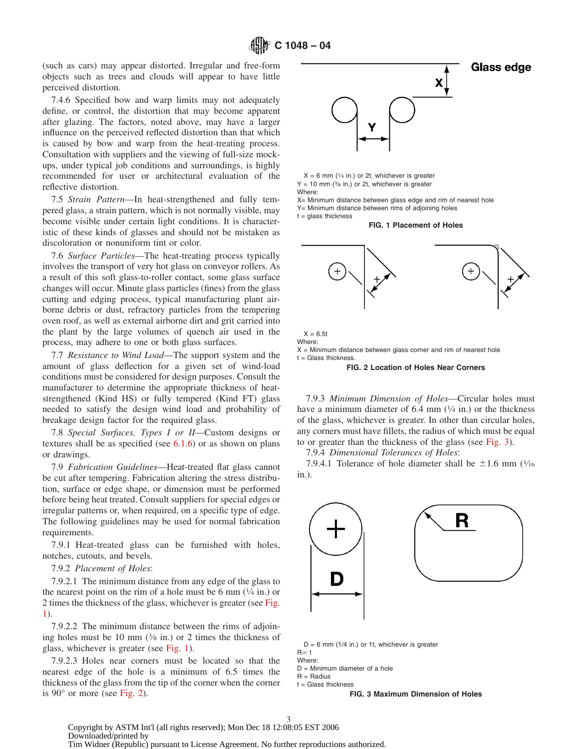(such as cars) may appear distorted. Irregular and free-form objects such as trees and clouds will appear to have little perceived distortion.

7.4.6 Specified bow and warp limits may not adequately define, or control, the distortion that may become apparent after glazing. The factors, noted above, may have a larger influence on the perceived reflected distortion than that which is caused by bow and warp from the heat-treating process. Consultation with suppliers and the viewing of full-size mockups, under typical job conditions and surroundings, is highly recommended for user or architectural evaluation of the reflective distortion.

7.5 *Strain Pattern*—In heat-strengthened and fully tempered glass, a strain pattern, which is not normally visible, may become visible under certain light conditions. It is characteristic of these kinds of glasses and should not be mistaken as discoloration or nonuniform tint or color.

7.6 *Surface Particles*—The heat-treating process typically involves the transport of very hot glass on conveyor rollers. As a result of this soft glass-to-roller contact, some glass surface changes will occur. Minute glass particles (fines) from the glass cutting and edging process, typical manufacturing plant airborne debris or dust, refractory particles from the tempering oven roof, as well as external airborne dirt and grit carried into the plant by the large volumes of quench air used in the process, may adhere to one or both glass surfaces.

7.7 *Resistance to Wind Load*—The support system and the amount of glass deflection for a given set of wind-load conditions must be considered for design purposes. Consult the manufacturer to determine the appropriate thickness of heatstrengthened (Kind HS) or fully tempered (Kind FT) glass needed to satisfy the design wind load and probability of breakage design factor for the required glass.

7.8 *Special Surfaces, Types I or II*—Custom designs or textures shall be as specified (see  $6.1.6$ ) or as shown on plans or drawings.

7.9 *Fabrication Guidelines*—Heat-treated flat glass cannot be cut after tempering. Fabrication altering the stress distribution, surface or edge shape, or dimension must be performed before being heat treated. Consult suppliers for special edges or irregular patterns or, when required, on a specific type of edge. The following guidelines may be used for normal fabrication requirements.

7.9.1 Heat-treated glass can be furnished with holes, notches, cutouts, and bevels.

#### 7.9.2 *Placement of Holes*:

7.9.2.1 The minimum distance from any edge of the glass to the nearest point on the rim of a hole must be 6 mm  $(1/4$  in.) or 2 times the thickness of the glass, whichever is greater (see [Fig.](#page-2-2) [1\)](#page-2-2).

7.9.2.2 The minimum distance between the rims of adjoining holes must be 10 mm  $(3/8 \text{ in.})$  or 2 times the thickness of glass, whichever is greater (see [Fig. 1\)](#page-2-2).

7.9.2.3 Holes near corners must be located so that the nearest edge of the hole is a minimum of 6.5 times the thickness of the glass from the tip of the corner when the corner is  $90^{\circ}$  or more (see [Fig. 2\)](#page-2-3).

<span id="page-2-2"></span>

 $X = 6$  mm ( $\frac{1}{4}$  in.) or 2t, whichever is greater  $Y = 10$  mm (% in.) or 2t, whichever is greater Where:

X= Minimum distance between glass edge and rim of nearest hole

Y= Minimum distance between rims of adjoining holes  $t =$  glass thickness

**FIG. 1 Placement of Holes**

<span id="page-2-3"></span>

 $X = 6.5t$ Where:  $X =$  Minimum distance between glass corner and rim of nearest hole  $t =$  Glass thickness

<span id="page-2-1"></span><span id="page-2-0"></span>**FIG. 2 Location of Holes Near Corners**

7.9.3 *Minimum Dimension of Holes*—Circular holes must have a minimum diameter of  $6.4 \text{ mm}$  ( $\frac{1}{4}$  in.) or the thickness of the glass, whichever is greater. In other than circular holes, any corners must have fillets, the radius of which must be equal to or greater than the thickness of the glass (see [Fig. 3\)](#page-2-4).

7.9.4 *Dimensional Tolerances of Holes*:

7.9.4.1 Tolerance of hole diameter shall be  $\pm 1.6$  mm ( $\frac{1}{16}$ in.).

<span id="page-2-4"></span>

 $D = 6$  mm (1/4 in.) or 1t, whichever is greater  $R \geq t$ Where:

 $D =$  Minimum diameter of a hole

 $R =$  Radius

 $t =$  Glass thickness

**FIG. 3 Maximum Dimension of Holes**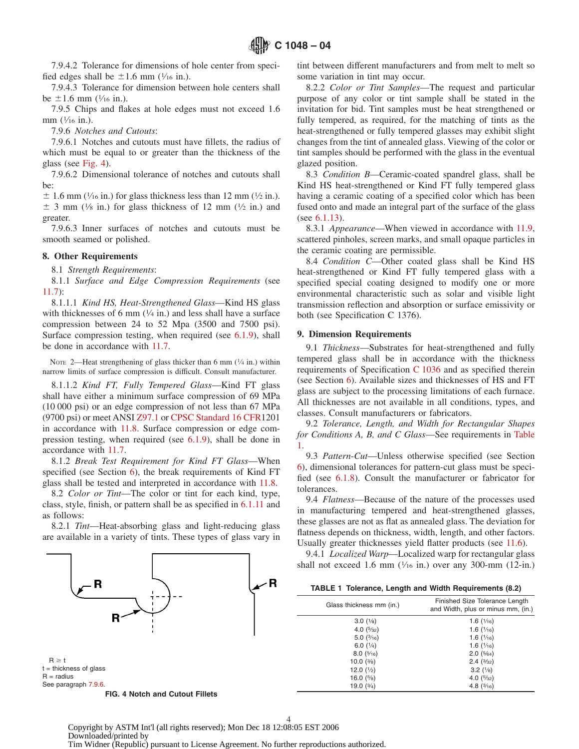7.9.4.2 Tolerance for dimensions of hole center from specified edges shall be  $\pm 1.6$  mm ( $\frac{1}{16}$  in.).

7.9.4.3 Tolerance for dimension between hole centers shall be  $\pm 1.6$  mm ( $\frac{1}{16}$  in.).

7.9.5 Chips and flakes at hole edges must not exceed 1.6 mm  $(\frac{1}{16}$  in.).

7.9.6 *Notches and Cutouts*:

7.9.6.1 Notches and cutouts must have fillets, the radius of which must be equal to or greater than the thickness of the glass (see [Fig. 4\)](#page-3-8).

7.9.6.2 Dimensional tolerance of notches and cutouts shall be:

 $\pm$  1.6 mm ( $\frac{1}{16}$  in.) for glass thickness less than 12 mm ( $\frac{1}{2}$  in.).  $\pm$  3 mm ( $\frac{1}{8}$  in.) for glass thickness of 12 mm ( $\frac{1}{2}$  in.) and greater.

7.9.6.3 Inner surfaces of notches and cutouts must be smooth seamed or polished.

#### **8. Other Requirements**

8.1 *Strength Requirements*:

8.1.1 *Surface and Edge Compression Requirements* (see [11.7\)](#page-5-3):

8.1.1.1 *Kind HS, Heat-Strengthened Glass*—Kind HS glass with thicknesses of 6 mm  $(1/4 \text{ in.})$  and less shall have a surface compression between 24 to 52 Mpa (3500 and 7500 psi). Surface compression testing, when required (see [6.1.9\)](#page-1-4), shall be done in accordance with [11.7.](#page-5-3)

NOTE 2—Heat strengthening of glass thicker than 6 mm  $(V_4$  in.) within narrow limits of surface compression is difficult. Consult manufacturer.

8.1.1.2 *Kind FT, Fully Tempered Glass*—Kind FT glass shall have either a minimum surface compression of 69 MPa (10 000 psi) or an edge compression of not less than 67 MPa (9700 psi) or meet ANSI Z97.1 or CPSC Standard 16 CFR1201 in accordance with [11.8.](#page-5-4) Surface compression or edge compression testing, when required (see [6.1.9\)](#page-1-4), shall be done in accordance with [11.7.](#page-5-3)

8.1.2 *Break Test Requirement for Kind FT Glass*—When specified (see Section  $6$ ), the break requirements of Kind FT glass shall be tested and interpreted in accordance with [11.8.](#page-5-4)

8.2 *Color or Tint*—The color or tint for each kind, type, class, style, finish, or pattern shall be as specified in [6.1.11](#page-1-5) and as follows:

8.2.1 *Tint*—Heat-absorbing glass and light-reducing glass are available in a variety of tints. These types of glass vary in



**FIG. 4 Notch and Cutout Fillets**

tint between different manufacturers and from melt to melt so some variation in tint may occur.

<span id="page-3-10"></span>8.2.2 *Color or Tint Samples*—The request and particular purpose of any color or tint sample shall be stated in the invitation for bid. Tint samples must be heat strengthened or fully tempered, as required, for the matching of tints as the heat-strengthened or fully tempered glasses may exhibit slight changes from the tint of annealed glass. Viewing of the color or tint samples should be performed with the glass in the eventual glazed position.

<span id="page-3-6"></span>8.3 *Condition B*—Ceramic-coated spandrel glass, shall be Kind HS heat-strengthened or Kind FT fully tempered glass having a ceramic coating of a specified color which has been fused onto and made an integral part of the surface of the glass (see [6.1.13\)](#page-1-6).

<span id="page-3-12"></span>8.3.1 *Appearance*—When viewed in accordance with [11.9,](#page-5-5) scattered pinholes, screen marks, and small opaque particles in the ceramic coating are permissible.

<span id="page-3-11"></span><span id="page-3-7"></span><span id="page-3-3"></span>8.4 *Condition C*—Other coated glass shall be Kind HS heat-strengthened or Kind FT fully tempered glass with a specified special coating designed to modify one or more environmental characteristic such as solar and visible light transmission reflection and absorption or surface emissivity or both (see Specification C 1376).

#### <span id="page-3-1"></span>**9. Dimension Requirements**

<span id="page-3-0"></span>9.1 *Thickness*—Substrates for heat-strengthened and fully tempered glass shall be in accordance with the thickness requirements of Specification [C 1036](#page-4-4) and as specified therein (see Section 6). Available sizes and thicknesses of HS and FT glass are subject to the processing limitations of each furnace. All thicknesses are not available in all conditions, types, and classes. Consult manufacturers or fabricators.

9.2 *Tolerance, Length, and Width for Rectangular Shapes for Conditions A, B, and C Glass*—See requirements in [Table](#page-3-9) [1.](#page-3-9)

<span id="page-3-4"></span><span id="page-3-2"></span>9.3 *Pattern-Cut*—Unless otherwise specified (see Section 6), dimensional tolerances for pattern-cut glass must be specified (see [6.1.8\)](#page-1-7). Consult the manufacturer or fabricator for tolerances.

<span id="page-3-5"></span>9.4 *Flatness*—Because of the nature of the processes used in manufacturing tempered and heat-strengthened glasses, these glasses are not as flat as annealed glass. The deviation for flatness depends on thickness, width, length, and other factors. Usually greater thicknesses yield flatter products (see [11.6\)](#page-5-6).

9.4.1 *Localized Warp*—Localized warp for rectangular glass shall not exceed 1.6 mm  $(\frac{1}{16}$  in.) over any 300-mm  $(12$ -in.)

<span id="page-3-9"></span><span id="page-3-8"></span>**TABLE 1 Tolerance, Length and Width Requirements (8.2)**

| Glass thickness mm (in.) | Finished Size Tolerance Length<br>and Width, plus or minus mm, (in.) |  |  |  |  |  |
|--------------------------|----------------------------------------------------------------------|--|--|--|--|--|
| 3.0(1/8)                 | 1.6 $(\frac{1}{16})$                                                 |  |  |  |  |  |
| 4.0 $(5/32)$             | 1.6(1/16)                                                            |  |  |  |  |  |
| 5.0 $(\frac{3}{16})$     | 1.6(1/16)                                                            |  |  |  |  |  |
| 6.0 $(\frac{1}{4})$      | 1.6 $(\frac{1}{16})$                                                 |  |  |  |  |  |
| 8.0(5/16)                | 2.0(5/64)                                                            |  |  |  |  |  |
| 10.0 $(\frac{3}{8})$     | 2.4(3/32)                                                            |  |  |  |  |  |
| 12.0 $(\frac{1}{2})$     | $3.2 \frac{1}{8}$                                                    |  |  |  |  |  |
| 16.0 $(5/8)$             | 4.0 $(5/32)$                                                         |  |  |  |  |  |
| 19.0 $(3/4)$             | 4.8 $(3/16)$                                                         |  |  |  |  |  |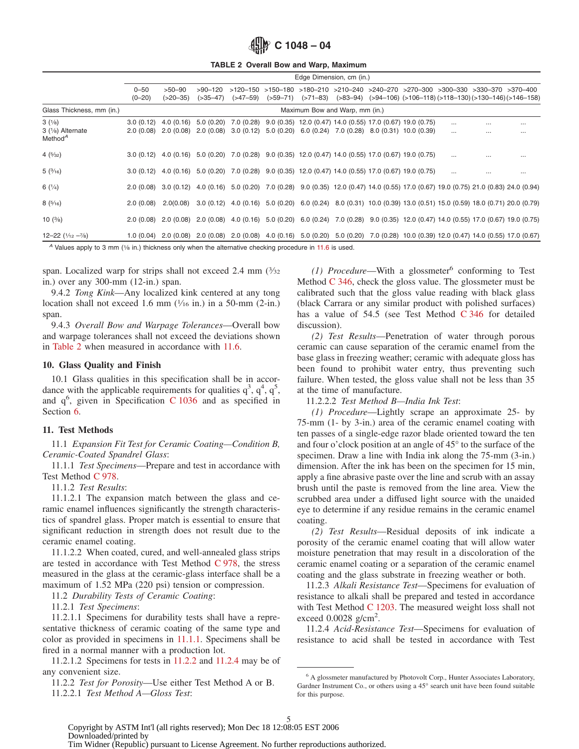<span id="page-4-5"></span>**C 1048 – 04**

**TABLE 2 Overall Bow and Warp, Maximum**

|                                                    | Edge Dimension, cm (in.)       |                           |                        |                         |           |  |  |  |                                                                                                                   |                      |                                                                                                                                                                                                        |                      |
|----------------------------------------------------|--------------------------------|---------------------------|------------------------|-------------------------|-----------|--|--|--|-------------------------------------------------------------------------------------------------------------------|----------------------|--------------------------------------------------------------------------------------------------------------------------------------------------------------------------------------------------------|----------------------|
|                                                    | $0 - 50$<br>$(0 - 20)$         | $>50-90$<br>$( >20 - 35)$ | $>90-120$<br>(>35–47)  | $( >47 - 59)$           |           |  |  |  |                                                                                                                   |                      | $>120-150$ $>150-180$ $>180-210$ $>210-240$ $>240-270$ $>270-300$ $>300-330$ $>330-370$ $>370-400$<br>$(559-71)$ $(571-83)$ $(583-94)$ $(594-106)$ $(5106-118)$ $(5118-130)$ $(5130-146)$ $(5146-158)$ |                      |
| Glass Thickness, mm (in.)                          | Maximum Bow and Warp, mm (in.) |                           |                        |                         |           |  |  |  |                                                                                                                   |                      |                                                                                                                                                                                                        |                      |
| 3(1/8)<br>3 (1/8) Alternate<br>Method <sup>A</sup> | 3.0(0.12)<br>2.0(0.08)         | 4.0(0.16)<br>2.0 (0.08)   | 5.0(0.20)<br>2.0(0.08) | 7.0 (0.28)<br>3.0(0.12) | 5.0(0.20) |  |  |  | 9.0 (0.35) 12.0 (0.47) 14.0 (0.55) 17.0 (0.67) 19.0 (0.75)<br>$6.0(0.24)$ 7.0 $(0.28)$ 8.0 $(0.31)$ 10.0 $(0.39)$ | $\cdots$<br>$\cdots$ | <br>$\cdots$                                                                                                                                                                                           | $\cdots$<br>$\cdots$ |
| 4(5/32)                                            | 3.0(0.12)                      |                           |                        |                         |           |  |  |  | 4.0 (0.16) 5.0 (0.20) 7.0 (0.28) 9.0 (0.35) 12.0 (0.47) 14.0 (0.55) 17.0 (0.67) 19.0 (0.75)                       | $\cdots$             |                                                                                                                                                                                                        | $\cdots$             |
| 5(3/16)                                            | 3.0(0.12)                      |                           |                        |                         |           |  |  |  | 4.0 (0.16) 5.0 (0.20) 7.0 (0.28) 9.0 (0.35) 12.0 (0.47) 14.0 (0.55) 17.0 (0.67) 19.0 (0.75)                       | $\cdots$             |                                                                                                                                                                                                        | $\cdots$             |
| 6(1/4)                                             | 2.0(0.08)                      |                           |                        |                         |           |  |  |  |                                                                                                                   |                      | 3.0 (0.12) 4.0 (0.16) 5.0 (0.20) 7.0 (0.28) 9.0 (0.35) 12.0 (0.47) 14.0 (0.55) 17.0 (0.67) 19.0 (0.75) 21.0 (0.83) 24.0 (0.94)                                                                         |                      |
| 8(5/16)                                            | 2.0(0.08)                      |                           |                        |                         |           |  |  |  |                                                                                                                   |                      | 2.0(0.08) 3.0 (0.12) 4.0 (0.16) 5.0 (0.20) 6.0 (0.24) 8.0 (0.31) 10.0 (0.39) 13.0 (0.51) 15.0 (0.59) 18.0 (0.71) 20.0 (0.79)                                                                           |                      |
| 10 $(3/8)$                                         |                                |                           |                        |                         |           |  |  |  |                                                                                                                   |                      | 2.0 (0.08) 2.0 (0.08) 2.0 (0.08) 4.0 (0.16) 5.0 (0.20) 6.0 (0.24) 7.0 (0.28) 9.0 (0.35) 12.0 (0.47) 14.0 (0.55) 17.0 (0.67) 19.0 (0.75)                                                                |                      |
| $12 - 22$ $(1/12 - 7/8)$                           |                                |                           |                        |                         |           |  |  |  |                                                                                                                   |                      | 1.0 (0.04) 2.0 (0.08) 2.0 (0.08) 2.0 (0.08) 4.0 (0.16) 5.0 (0.20) 5.0 (0.20) 7.0 (0.28) 10.0 (0.39) 12.0 (0.47) 14.0 (0.55) 17.0 (0.67)                                                                |                      |
|                                                    |                                |                           |                        |                         |           |  |  |  |                                                                                                                   |                      |                                                                                                                                                                                                        |                      |

*A* Values apply to 3 mm (1/8 in.) thickness only when the alternative checking procedure in [11.6](#page-5-6) is used.

span. Localized warp for strips shall not exceed 2.4 mm  $(3/32)$ in.) over any 300-mm (12-in.) span.

9.4.2 *Tong Kink*—Any localized kink centered at any tong location shall not exceed 1.6 mm  $(\frac{1}{16}$  in.) in a 50-mm (2-in.) span.

9.4.3 *Overall Bow and Warpage Tolerances*—Overall bow and warpage tolerances shall not exceed the deviations shown in [Table 2](#page-4-5) when measured in accordance with [11.6.](#page-5-6)

## **10. Glass Quality and Finish**

10.1 Glass qualities in this specification shall be in accordance with the applicable requirements for qualities  $q^3$ ,  $q^4$ ,  $q^5$ , and q<sup>6</sup>, given in Specification [C 1036](#page-5-7) and as specified in Section 6.

## **11. Test Methods**

11.1 *Expansion Fit Test for Ceramic Coating—Condition B, Ceramic-Coated Spandrel Glass*:

11.1.1 *Test Specimens*—Prepare and test in accordance with Test Method [C 978.](#page-4-6)

11.1.2 *Test Results*:

11.1.2.1 The expansion match between the glass and ceramic enamel influences significantly the strength characteristics of spandrel glass. Proper match is essential to ensure that significant reduction in strength does not result due to the ceramic enamel coating.

11.1.2.2 When coated, cured, and well-annealed glass strips are tested in accordance with Test Method  $C$  978, the stress measured in the glass at the ceramic-glass interface shall be a maximum of 1.52 MPa (220 psi) tension or compression.

11.2 *Durability Tests of Ceramic Coating*:

11.2.1 *Test Specimens*:

11.2.1.1 Specimens for durability tests shall have a representative thickness of ceramic coating of the same type and color as provided in specimens in [11.1.1.](#page-4-7) Specimens shall be fired in a normal manner with a production lot.

11.2.1.2 Specimens for tests in [11.2.2](#page-4-8) and [11.2.4](#page-4-9) may be of any convenient size.

11.2.2 *Test for Porosity*—Use either Test Method A or B. 11.2.2.1 *Test Method A—Gloss Test*:

<span id="page-4-1"></span> $(1)$  *Procedure*—With a glossmeter<sup>6</sup> conforming to Test Method [C 346,](#page-4-10) check the gloss value. The glossmeter must be calibrated such that the gloss value reading with black glass (black Carrara or any similar product with polished surfaces) has a value of 54.5 (see Test Method [C 346](#page-0-5) for detailed discussion).

<span id="page-4-10"></span>*(2) Test Results*—Penetration of water through porous ceramic can cause separation of the ceramic enamel from the base glass in freezing weather; ceramic with adequate gloss has been found to prohibit water entry, thus preventing such failure. When tested, the gloss value shall not be less than 35 at the time of manufacture.

<span id="page-4-7"></span><span id="page-4-4"></span><span id="page-4-2"></span><span id="page-4-0"></span>11.2.2.2 *Test Method B—India Ink Test*:

*(1) Procedure*—Lightly scrape an approximate 25- by 75-mm (1- by 3-in.) area of the ceramic enamel coating with ten passes of a single-edge razor blade oriented toward the ten and four o'clock position at an angle of 45° to the surface of the specimen. Draw a line with India ink along the 75-mm (3-in.) dimension. After the ink has been on the specimen for 15 min, apply a fine abrasive paste over the line and scrub with an assay brush until the paste is removed from the line area. View the scrubbed area under a diffused light source with the unaided eye to determine if any residue remains in the ceramic enamel coating.

<span id="page-4-6"></span>*(2) Test Results*—Residual deposits of ink indicate a porosity of the ceramic enamel coating that will allow water moisture penetration that may result in a discoloration of the ceramic enamel coating or a separation of the ceramic enamel coating and the glass substrate in freezing weather or both.

<span id="page-4-3"></span>11.2.3 *Alkali Resistance Test*—Specimens for evaluation of resistance to alkali shall be prepared and tested in accordance with Test Method [C 1203.](#page-0-6) The measured weight loss shall not exceed  $0.0028$  g/cm<sup>2</sup>.

<span id="page-4-9"></span>11.2.4 *Acid-Resistance Test*—Specimens for evaluation of resistance to acid shall be tested in accordance with Test

<span id="page-4-8"></span><sup>6</sup> A glossmeter manufactured by Photovolt Corp., Hunter Associates Laboratory, Gardner Instrument Co., or others using a 45° search unit have been found suitable for this purpose.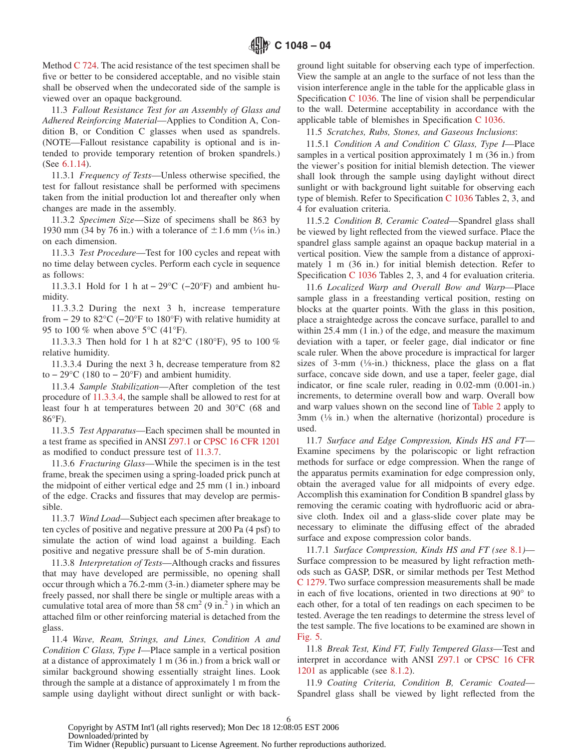Method [C 724.](#page-0-7) The acid resistance of the test specimen shall be five or better to be considered acceptable, and no visible stain shall be observed when the undecorated side of the sample is viewed over an opaque background.

11.3 *Fallout Resistance Test for an Assembly of Glass and Adhered Reinforcing Material*—Applies to Condition A, Condition B, or Condition C glasses when used as spandrels. (NOTE—Fallout resistance capability is optional and is intended to provide temporary retention of broken spandrels.) (See [6.1.14\)](#page-1-8).

11.3.1 *Frequency of Tests*—Unless otherwise specified, the test for fallout resistance shall be performed with specimens taken from the initial production lot and thereafter only when changes are made in the assembly.

11.3.2 *Specimen Size*—Size of specimens shall be 863 by 1930 mm (34 by 76 in.) with a tolerance of  $\pm 1.6$  mm ( $\frac{1}{16}$  in.) on each dimension.

11.3.3 *Test Procedure*—Test for 100 cycles and repeat with no time delay between cycles. Perform each cycle in sequence as follows:

11.3.3.1 Hold for 1 h at − 29°C (−20°F) and ambient humidity.

11.3.3.2 During the next 3 h, increase temperature from  $-$  29 to 82 $\mathrm{^{\circ}C}$  ( $-20\mathrm{^{\circ}F}$  to 180 $\mathrm{^{\circ}F}$ ) with relative humidity at 95 to 100 % when above  $5^{\circ}$ C (41 $^{\circ}$ F).

11.3.3.3 Then hold for 1 h at 82°C (180°F), 95 to 100 % relative humidity.

11.3.3.4 During the next 3 h, decrease temperature from 82 to  $-29^{\circ}$ C (180 to  $-20^{\circ}$ F) and ambient humidity.

11.3.4 *Sample Stabilization*—After completion of the test procedure of [11.3.3.4,](#page-5-8) the sample shall be allowed to rest for at least four h at temperatures between 20 and 30°C (68 and 86°F).

11.3.5 *Test Apparatus*—Each specimen shall be mounted in a test frame as specified in ANSI Z97.1 or CPSC 16 CFR 1201 as modified to conduct pressure test of [11.3.7.](#page-5-9)

11.3.6 *Fracturing Glass*—While the specimen is in the test frame, break the specimen using a spring-loaded prick punch at the midpoint of either vertical edge and 25 mm (1 in.) inboard of the edge. Cracks and fissures that may develop are permissible.

11.3.7 *Wind Load*—Subject each specimen after breakage to ten cycles of positive and negative pressure at 200 Pa (4 psf) to simulate the action of wind load against a building. Each positive and negative pressure shall be of 5-min duration.

11.3.8 *Interpretation of Tests*—Although cracks and fissures that may have developed are permissible, no opening shall occur through which a 76.2-mm (3-in.) diameter sphere may be freely passed, nor shall there be single or multiple areas with a cumulative total area of more than 58 cm<sup>2</sup> (9 in.<sup>2</sup>) in which an attached film or other reinforcing material is detached from the glass.

11.4 *Wave, Ream, Strings, and Lines, Condition A and Condition C Glass, Type I*—Place sample in a vertical position at a distance of approximately 1 m (36 in.) from a brick wall or similar background showing essentially straight lines. Look through the sample at a distance of approximately 1 m from the sample using daylight without direct sunlight or with back<span id="page-5-7"></span><span id="page-5-0"></span>ground light suitable for observing each type of imperfection. View the sample at an angle to the surface of not less than the vision interference angle in the table for the applicable glass in Specification [C 1036.](#page-5-10) The line of vision shall be perpendicular to the wall. Determine acceptability in accordance with the applicable table of blemishes in Specification [C 1036.](#page-5-11)

<span id="page-5-10"></span><span id="page-5-2"></span>11.5 *Scratches, Rubs, Stones, and Gaseous Inclusions*:

11.5.1 *Condition A and Condition C Glass, Type I*—Place samples in a vertical position approximately 1 m (36 in.) from the viewer's position for initial blemish detection. The viewer shall look through the sample using daylight without direct sunlight or with background light suitable for observing each type of blemish. Refer to Specification [C 1036](#page-5-12) Tables 2, 3, and 4 for evaluation criteria.

<span id="page-5-11"></span>11.5.2 *Condition B, Ceramic Coated*—Spandrel glass shall be viewed by light reflected from the viewed surface. Place the spandrel glass sample against an opaque backup material in a vertical position. View the sample from a distance of approximately 1 m (36 in.) for initial blemish detection. Refer to Specification [C 1036](#page-6-0) Tables 2, 3, and 4 for evaluation criteria.

<span id="page-5-12"></span><span id="page-5-8"></span><span id="page-5-6"></span>11.6 *Localized Warp and Overall Bow and Warp*—Place sample glass in a freestanding vertical position, resting on blocks at the quarter points. With the glass in this position, place a straightedge across the concave surface, parallel to and within 25.4 mm  $(1 \text{ in.})$  of the edge, and measure the maximum deviation with a taper, or feeler gage, dial indicator or fine scale ruler. When the above procedure is impractical for larger sizes of 3-mm  $(\frac{1}{8}$ -in.) thickness, place the glass on a flat surface, concave side down, and use a taper, feeler gage, dial indicator, or fine scale ruler, reading in 0.02-mm (0.001-in.) increments, to determine overall bow and warp. Overall bow and warp values shown on the second line of [Table 2](#page-4-5) apply to 3mm  $(\frac{1}{8}$  in.) when the alternative (horizontal) procedure is used.

<span id="page-5-3"></span>11.7 *Surface and Edge Compression, Kinds HS and FT*— Examine specimens by the polariscopic or light refraction methods for surface or edge compression. When the range of the apparatus permits examination for edge compression only, obtain the averaged value for all midpoints of every edge. Accomplish this examination for Condition B spandrel glass by removing the ceramic coating with hydrofluoric acid or abrasive cloth. Index oil and a glass-slide cover plate may be necessary to eliminate the diffusing effect of the abraded surface and expose compression color bands.

<span id="page-5-9"></span><span id="page-5-1"></span>11.7.1 *Surface Compression, Kinds HS and FT (see* [8.1](#page-3-11)*)*— Surface compression to be measured by light refraction methods such as GASP, DSR, or similar methods per Test Method [C 1279.](#page-0-8) Two surface compression measurements shall be made in each of five locations, oriented in two directions at 90° to each other, for a total of ten readings on each specimen to be tested. Average the ten readings to determine the stress level of the test sample. The five locations to be examined are shown in [Fig. 5.](#page-6-1)

<span id="page-5-4"></span>11.8 *Break Test, Kind FT, Fully Tempered Glass*—Test and interpret in accordance with ANSI Z97.1 or CPSC 16 CFR 1201 as applicable (see [8.1.2\)](#page-3-4).

<span id="page-5-5"></span>11.9 *Coating Criteria, Condition B, Ceramic Coated*— Spandrel glass shall be viewed by light reflected from the